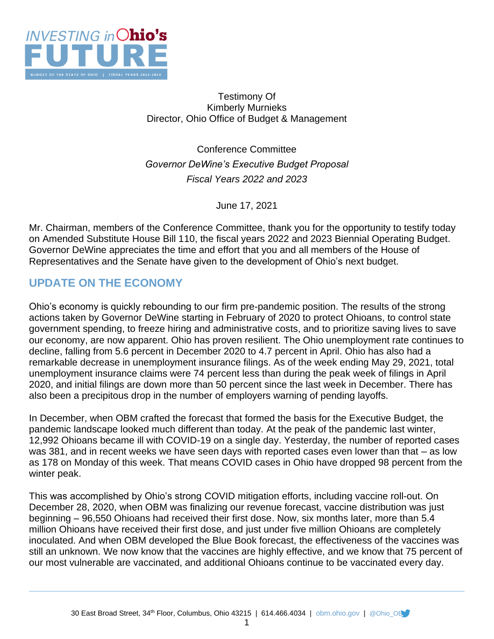

### Testimony Of Kimberly Murnieks Director, Ohio Office of Budget & Management

Conference Committee *Governor DeWine's Executive Budget Proposal Fiscal Years 2022 and 2023*

June 17, 2021

Mr. Chairman, members of the Conference Committee, thank you for the opportunity to testify today on Amended Substitute House Bill 110, the fiscal years 2022 and 2023 Biennial Operating Budget. Governor DeWine appreciates the time and effort that you and all members of the House of Representatives and the Senate have given to the development of Ohio's next budget.

# **UPDATE ON THE ECONOMY**

Ohio's economy is quickly rebounding to our firm pre-pandemic position. The results of the strong actions taken by Governor DeWine starting in February of 2020 to protect Ohioans, to control state government spending, to freeze hiring and administrative costs, and to prioritize saving lives to save our economy, are now apparent. Ohio has proven resilient. The Ohio unemployment rate continues to decline, falling from 5.6 percent in December 2020 to 4.7 percent in April. Ohio has also had a remarkable decrease in unemployment insurance filings. As of the week ending May 29, 2021, total unemployment insurance claims were 74 percent less than during the peak week of filings in April 2020, and initial filings are down more than 50 percent since the last week in December. There has also been a precipitous drop in the number of employers warning of pending layoffs.

In December, when OBM crafted the forecast that formed the basis for the Executive Budget, the pandemic landscape looked much different than today. At the peak of the pandemic last winter, 12,992 Ohioans became ill with COVID-19 on a single day. Yesterday, the number of reported cases was 381, and in recent weeks we have seen days with reported cases even lower than that – as low as 178 on Monday of this week. That means COVID cases in Ohio have dropped 98 percent from the winter peak.

This was accomplished by Ohio's strong COVID mitigation efforts, including vaccine roll-out. On December 28, 2020, when OBM was finalizing our revenue forecast, vaccine distribution was just beginning – 96,550 Ohioans had received their first dose. Now, six months later, more than 5.4 million Ohioans have received their first dose, and just under five million Ohioans are completely inoculated. And when OBM developed the Blue Book forecast, the effectiveness of the vaccines was still an unknown. We now know that the vaccines are highly effective, and we know that 75 percent of our most vulnerable are vaccinated, and additional Ohioans continue to be vaccinated every day.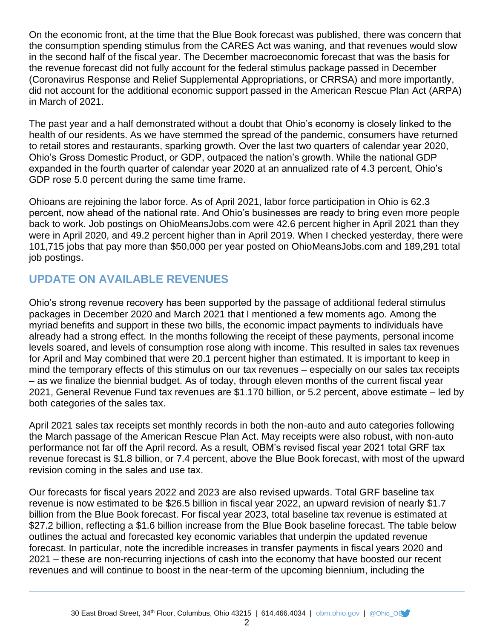On the economic front, at the time that the Blue Book forecast was published, there was concern that the consumption spending stimulus from the CARES Act was waning, and that revenues would slow in the second half of the fiscal year. The December macroeconomic forecast that was the basis for the revenue forecast did not fully account for the federal stimulus package passed in December (Coronavirus Response and Relief Supplemental Appropriations, or CRRSA) and more importantly, did not account for the additional economic support passed in the American Rescue Plan Act (ARPA) in March of 2021.

The past year and a half demonstrated without a doubt that Ohio's economy is closely linked to the health of our residents. As we have stemmed the spread of the pandemic, consumers have returned to retail stores and restaurants, sparking growth. Over the last two quarters of calendar year 2020, Ohio's Gross Domestic Product, or GDP, outpaced the nation's growth. While the national GDP expanded in the fourth quarter of calendar year 2020 at an annualized rate of 4.3 percent, Ohio's GDP rose 5.0 percent during the same time frame.

Ohioans are rejoining the labor force. As of April 2021, labor force participation in Ohio is 62.3 percent, now ahead of the national rate. And Ohio's businesses are ready to bring even more people back to work. Job postings on OhioMeansJobs.com were 42.6 percent higher in April 2021 than they were in April 2020, and 49.2 percent higher than in April 2019. When I checked yesterday, there were 101,715 jobs that pay more than \$50,000 per year posted on OhioMeansJobs.com and 189,291 total job postings.

# **UPDATE ON AVAILABLE REVENUES**

Ohio's strong revenue recovery has been supported by the passage of additional federal stimulus packages in December 2020 and March 2021 that I mentioned a few moments ago. Among the myriad benefits and support in these two bills, the economic impact payments to individuals have already had a strong effect. In the months following the receipt of these payments, personal income levels soared, and levels of consumption rose along with income. This resulted in sales tax revenues for April and May combined that were 20.1 percent higher than estimated. It is important to keep in mind the temporary effects of this stimulus on our tax revenues – especially on our sales tax receipts – as we finalize the biennial budget. As of today, through eleven months of the current fiscal year 2021, General Revenue Fund tax revenues are \$1.170 billion, or 5.2 percent, above estimate – led by both categories of the sales tax.

April 2021 sales tax receipts set monthly records in both the non-auto and auto categories following the March passage of the American Rescue Plan Act. May receipts were also robust, with non-auto performance not far off the April record. As a result, OBM's revised fiscal year 2021 total GRF tax revenue forecast is \$1.8 billion, or 7.4 percent, above the Blue Book forecast, with most of the upward revision coming in the sales and use tax.

Our forecasts for fiscal years 2022 and 2023 are also revised upwards. Total GRF baseline tax revenue is now estimated to be \$26.5 billion in fiscal year 2022, an upward revision of nearly \$1.7 billion from the Blue Book forecast. For fiscal year 2023, total baseline tax revenue is estimated at \$27.2 billion, reflecting a \$1.6 billion increase from the Blue Book baseline forecast. The table below outlines the actual and forecasted key economic variables that underpin the updated revenue forecast. In particular, note the incredible increases in transfer payments in fiscal years 2020 and 2021 – these are non-recurring injections of cash into the economy that have boosted our recent revenues and will continue to boost in the near-term of the upcoming biennium, including the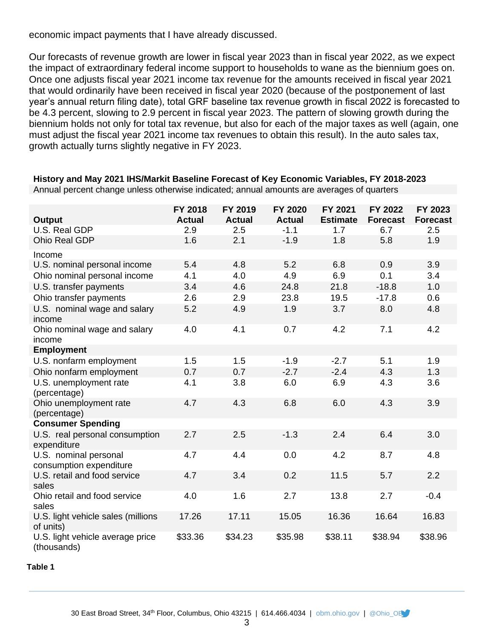economic impact payments that I have already discussed.

Our forecasts of revenue growth are lower in fiscal year 2023 than in fiscal year 2022, as we expect the impact of extraordinary federal income support to households to wane as the biennium goes on. Once one adjusts fiscal year 2021 income tax revenue for the amounts received in fiscal year 2021 that would ordinarily have been received in fiscal year 2020 (because of the postponement of last year's annual return filing date), total GRF baseline tax revenue growth in fiscal 2022 is forecasted to be 4.3 percent, slowing to 2.9 percent in fiscal year 2023. The pattern of slowing growth during the biennium holds not only for total tax revenue, but also for each of the major taxes as well (again, one must adjust the fiscal year 2021 income tax revenues to obtain this result). In the auto sales tax, growth actually turns slightly negative in FY 2023.

| <b>Output</b>                                    | FY 2018<br><b>Actual</b> | FY 2019<br><b>Actual</b> | <b>FY 2020</b><br><b>Actual</b> | FY 2021<br><b>Estimate</b> | FY 2022<br><b>Forecast</b> | FY 2023<br><b>Forecast</b> |
|--------------------------------------------------|--------------------------|--------------------------|---------------------------------|----------------------------|----------------------------|----------------------------|
| U.S. Real GDP                                    | 2.9                      | 2.5                      | $-1.1$                          | 1.7                        | 6.7                        | 2.5                        |
| Ohio Real GDP                                    | 1.6                      | 2.1                      | $-1.9$                          | 1.8                        | 5.8                        | 1.9                        |
| Income                                           |                          |                          |                                 |                            |                            |                            |
| U.S. nominal personal income                     | 5.4                      | 4.8                      | 5.2                             | 6.8                        | 0.9                        | 3.9                        |
| Ohio nominal personal income                     | 4.1                      | 4.0                      | 4.9                             | 6.9                        | 0.1                        | 3.4                        |
| U.S. transfer payments                           | 3.4                      | 4.6                      | 24.8                            | 21.8                       | $-18.8$                    | 1.0                        |
| Ohio transfer payments                           | 2.6                      | 2.9                      | 23.8                            | 19.5                       | $-17.8$                    | 0.6                        |
| U.S. nominal wage and salary<br>income           | 5.2                      | 4.9                      | 1.9                             | 3.7                        | 8.0                        | 4.8                        |
| Ohio nominal wage and salary<br>income           | 4.0                      | 4.1                      | 0.7                             | 4.2                        | 7.1                        | 4.2                        |
| <b>Employment</b>                                |                          |                          |                                 |                            |                            |                            |
| U.S. nonfarm employment                          | 1.5                      | 1.5                      | $-1.9$                          | $-2.7$                     | 5.1                        | 1.9                        |
| Ohio nonfarm employment                          | 0.7                      | 0.7                      | $-2.7$                          | $-2.4$                     | 4.3                        | 1.3                        |
| U.S. unemployment rate<br>(percentage)           | 4.1                      | 3.8                      | 6.0                             | 6.9                        | 4.3                        | 3.6                        |
| Ohio unemployment rate<br>(percentage)           | 4.7                      | 4.3                      | 6.8                             | 6.0                        | 4.3                        | 3.9                        |
| <b>Consumer Spending</b>                         |                          |                          |                                 |                            |                            |                            |
| U.S. real personal consumption<br>expenditure    | 2.7                      | 2.5                      | $-1.3$                          | 2.4                        | 6.4                        | 3.0                        |
| U.S. nominal personal<br>consumption expenditure | 4.7                      | 4.4                      | 0.0                             | 4.2                        | 8.7                        | 4.8                        |
| U.S. retail and food service<br>sales            | 4.7                      | 3.4                      | 0.2                             | 11.5                       | 5.7                        | 2.2                        |
| Ohio retail and food service<br>sales            | 4.0                      | 1.6                      | 2.7                             | 13.8                       | 2.7                        | $-0.4$                     |
| U.S. light vehicle sales (millions<br>of units)  | 17.26                    | 17.11                    | 15.05                           | 16.36                      | 16.64                      | 16.83                      |
| U.S. light vehicle average price<br>(thousands)  | \$33.36                  | \$34.23                  | \$35.98                         | \$38.11                    | \$38.94                    | \$38.96                    |

**History and May 2021 IHS/Markit Baseline Forecast of Key Economic Variables, FY 2018-2023**

Annual percent change unless otherwise indicated; annual amounts are averages of quarters

#### **Table 1**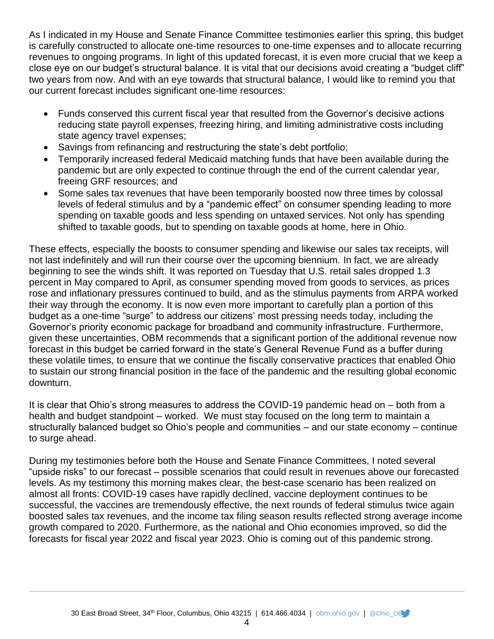As I indicated in my House and Senate Finance Committee testimonies earlier this spring, this budget is carefully constructed to allocate one-time resources to one-time expenses and to allocate recurring revenues to ongoing programs. In light of this updated forecast, it is even more crucial that we keep a close eye on our budget's structural balance. It is vital that our decisions avoid creating a "budget cliff" two years from now. And with an eye towards that structural balance, I would like to remind you that our current forecast includes significant one-time resources:

- Funds conserved this current fiscal year that resulted from the Governor's decisive actions reducing state payroll expenses, freezing hiring, and limiting administrative costs including state agency travel expenses;
- Savings from refinancing and restructuring the state's debt portfolio;
- Temporarily increased federal Medicaid matching funds that have been available during the pandemic but are only expected to continue through the end of the current calendar year, freeing GRF resources; and
- Some sales tax revenues that have been temporarily boosted now three times by colossal levels of federal stimulus and by a "pandemic effect" on consumer spending leading to more spending on taxable goods and less spending on untaxed services. Not only has spending shifted to taxable goods, but to spending on taxable goods at home, here in Ohio.

These effects, especially the boosts to consumer spending and likewise our sales tax receipts, will not last indefinitely and will run their course over the upcoming biennium. In fact, we are already beginning to see the winds shift. It was reported on Tuesday that U.S. retail sales dropped 1.3 percent in May compared to April, as consumer spending moved from goods to services, as prices rose and inflationary pressures continued to build, and as the stimulus payments from ARPA worked their way through the economy. It is now even more important to carefully plan a portion of this budget as a one-time "surge" to address our citizens' most pressing needs today, including the Governor's priority economic package for broadband and community infrastructure. Furthermore, given these uncertainties, OBM recommends that a significant portion of the additional revenue now forecast in this budget be carried forward in the state's General Revenue Fund as a buffer during these volatile times, to ensure that we continue the fiscally conservative practices that enabled Ohio to sustain our strong financial position in the face of the pandemic and the resulting global economic downturn.

It is clear that Ohio's strong measures to address the COVID-19 pandemic head on – both from a health and budget standpoint – worked. We must stay focused on the long term to maintain a structurally balanced budget so Ohio's people and communities – and our state economy – continue to surge ahead.

During my testimonies before both the House and Senate Finance Committees, I noted several "upside risks" to our forecast – possible scenarios that could result in revenues above our forecasted levels. As my testimony this morning makes clear, the best-case scenario has been realized on almost all fronts: COVID-19 cases have rapidly declined, vaccine deployment continues to be successful, the vaccines are tremendously effective, the next rounds of federal stimulus twice again boosted sales tax revenues, and the income tax filing season results reflected strong average income growth compared to 2020. Furthermore, as the national and Ohio economies improved, so did the forecasts for fiscal year 2022 and fiscal year 2023. Ohio is coming out of this pandemic strong.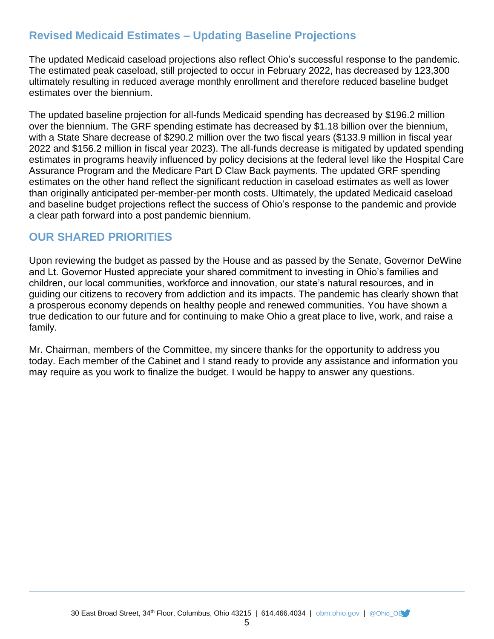## **Revised Medicaid Estimates – Updating Baseline Projections**

The updated Medicaid caseload projections also reflect Ohio's successful response to the pandemic. The estimated peak caseload, still projected to occur in February 2022, has decreased by 123,300 ultimately resulting in reduced average monthly enrollment and therefore reduced baseline budget estimates over the biennium.

The updated baseline projection for all-funds Medicaid spending has decreased by \$196.2 million over the biennium. The GRF spending estimate has decreased by \$1.18 billion over the biennium, with a State Share decrease of \$290.2 million over the two fiscal years (\$133.9 million in fiscal year 2022 and \$156.2 million in fiscal year 2023). The all-funds decrease is mitigated by updated spending estimates in programs heavily influenced by policy decisions at the federal level like the Hospital Care Assurance Program and the Medicare Part D Claw Back payments. The updated GRF spending estimates on the other hand reflect the significant reduction in caseload estimates as well as lower than originally anticipated per-member-per month costs. Ultimately, the updated Medicaid caseload and baseline budget projections reflect the success of Ohio's response to the pandemic and provide a clear path forward into a post pandemic biennium.

## **OUR SHARED PRIORITIES**

Upon reviewing the budget as passed by the House and as passed by the Senate, Governor DeWine and Lt. Governor Husted appreciate your shared commitment to investing in Ohio's families and children, our local communities, workforce and innovation, our state's natural resources, and in guiding our citizens to recovery from addiction and its impacts. The pandemic has clearly shown that a prosperous economy depends on healthy people and renewed communities. You have shown a true dedication to our future and for continuing to make Ohio a great place to live, work, and raise a family.

Mr. Chairman, members of the Committee, my sincere thanks for the opportunity to address you today. Each member of the Cabinet and I stand ready to provide any assistance and information you may require as you work to finalize the budget. I would be happy to answer any questions.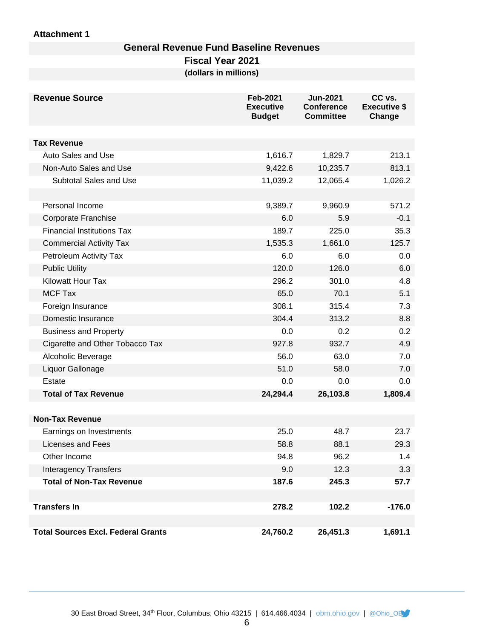### **Attachment 1**

### **General Revenue Fund Baseline Revenues**

**Fiscal Year 2021**

**(dollars in millions)**

| <b>Revenue Source</b>                     | <b>Feb-2021</b><br><b>Executive</b><br><b>Budget</b> | <b>Jun-2021</b><br><b>Conference</b><br><b>Committee</b> | CC vs.<br><b>Executive \$</b><br>Change |
|-------------------------------------------|------------------------------------------------------|----------------------------------------------------------|-----------------------------------------|
|                                           |                                                      |                                                          |                                         |
| <b>Tax Revenue</b>                        |                                                      |                                                          |                                         |
| Auto Sales and Use                        | 1,616.7                                              | 1,829.7                                                  | 213.1                                   |
| Non-Auto Sales and Use                    | 9,422.6                                              | 10,235.7                                                 | 813.1                                   |
| Subtotal Sales and Use                    | 11,039.2                                             | 12,065.4                                                 | 1,026.2                                 |
|                                           |                                                      |                                                          |                                         |
| Personal Income                           | 9,389.7                                              | 9,960.9                                                  | 571.2                                   |
| Corporate Franchise                       | 6.0                                                  | 5.9                                                      | $-0.1$                                  |
| <b>Financial Institutions Tax</b>         | 189.7                                                | 225.0                                                    | 35.3                                    |
| <b>Commercial Activity Tax</b>            | 1,535.3                                              | 1,661.0                                                  | 125.7                                   |
| Petroleum Activity Tax                    | 6.0                                                  | 6.0                                                      | 0.0                                     |
| <b>Public Utility</b>                     | 120.0                                                | 126.0                                                    | 6.0                                     |
| <b>Kilowatt Hour Tax</b>                  | 296.2                                                | 301.0                                                    | 4.8                                     |
| <b>MCF Tax</b>                            | 65.0                                                 | 70.1                                                     | 5.1                                     |
| Foreign Insurance                         | 308.1                                                | 315.4                                                    | 7.3                                     |
| Domestic Insurance                        | 304.4                                                | 313.2                                                    | 8.8                                     |
| <b>Business and Property</b>              | 0.0                                                  | 0.2                                                      | 0.2                                     |
| Cigarette and Other Tobacco Tax           | 927.8                                                | 932.7                                                    | 4.9                                     |
| Alcoholic Beverage                        | 56.0                                                 | 63.0                                                     | 7.0                                     |
| Liquor Gallonage                          | 51.0                                                 | 58.0                                                     | 7.0                                     |
| Estate                                    | 0.0                                                  | 0.0                                                      | 0.0                                     |
| <b>Total of Tax Revenue</b>               | 24,294.4                                             | 26,103.8                                                 | 1,809.4                                 |
|                                           |                                                      |                                                          |                                         |
| <b>Non-Tax Revenue</b>                    |                                                      |                                                          |                                         |
| Earnings on Investments                   | 25.0                                                 | 48.7                                                     | 23.7                                    |
| <b>Licenses and Fees</b>                  | 58.8                                                 | 88.1                                                     | 29.3                                    |
| Other Income                              | 94.8                                                 | 96.2                                                     | 1.4                                     |
| <b>Interagency Transfers</b>              | 9.0                                                  | 12.3                                                     | 3.3                                     |
| <b>Total of Non-Tax Revenue</b>           | 187.6                                                | 245.3                                                    | 57.7                                    |
|                                           |                                                      |                                                          |                                         |
| <b>Transfers In</b>                       | 278.2                                                | 102.2                                                    | $-176.0$                                |
| <b>Total Sources Excl. Federal Grants</b> | 24,760.2                                             | 26,451.3                                                 | 1,691.1                                 |